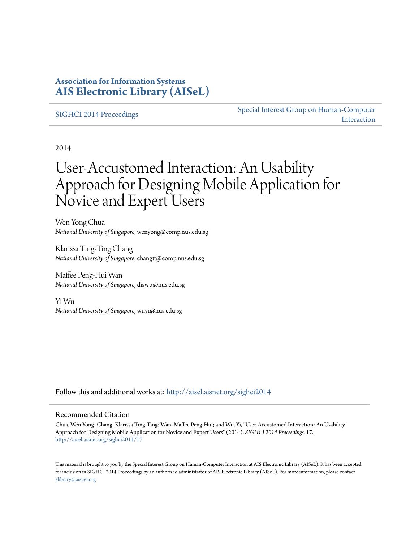### **Association for Information Systems [AIS Electronic Library \(AISeL\)](http://aisel.aisnet.org?utm_source=aisel.aisnet.org%2Fsighci2014%2F17&utm_medium=PDF&utm_campaign=PDFCoverPages)**

#### [SIGHCI 2014 Proceedings](http://aisel.aisnet.org/sighci2014?utm_source=aisel.aisnet.org%2Fsighci2014%2F17&utm_medium=PDF&utm_campaign=PDFCoverPages)

[Special Interest Group on Human-Computer](http://aisel.aisnet.org/sighci?utm_source=aisel.aisnet.org%2Fsighci2014%2F17&utm_medium=PDF&utm_campaign=PDFCoverPages) [Interaction](http://aisel.aisnet.org/sighci?utm_source=aisel.aisnet.org%2Fsighci2014%2F17&utm_medium=PDF&utm_campaign=PDFCoverPages)

2014

# User-Accustomed Interaction: An Usability Approach for Designing Mobile Application for Novice and Expert Users

Wen Yong Chua *National University of Singapore*, wenyong@comp.nus.edu.sg

Klarissa Ting-Ting Chang *National University of Singapore*, changtt@comp.nus.edu.sg

Maffee Peng-Hui Wan *National University of Singapore*, diswp@nus.edu.sg

Yi Wu *National University of Singapore*, wuyi@nus.edu.sg

Follow this and additional works at: [http://aisel.aisnet.org/sighci2014](http://aisel.aisnet.org/sighci2014?utm_source=aisel.aisnet.org%2Fsighci2014%2F17&utm_medium=PDF&utm_campaign=PDFCoverPages)

#### Recommended Citation

Chua, Wen Yong; Chang, Klarissa Ting-Ting; Wan, Maffee Peng-Hui; and Wu, Yi, "User-Accustomed Interaction: An Usability Approach for Designing Mobile Application for Novice and Expert Users" (2014). *SIGHCI 2014 Proceedings*. 17. [http://aisel.aisnet.org/sighci2014/17](http://aisel.aisnet.org/sighci2014/17?utm_source=aisel.aisnet.org%2Fsighci2014%2F17&utm_medium=PDF&utm_campaign=PDFCoverPages)

This material is brought to you by the Special Interest Group on Human-Computer Interaction at AIS Electronic Library (AISeL). It has been accepted for inclusion in SIGHCI 2014 Proceedings by an authorized administrator of AIS Electronic Library (AISeL). For more information, please contact [elibrary@aisnet.org.](mailto:elibrary@aisnet.org%3E)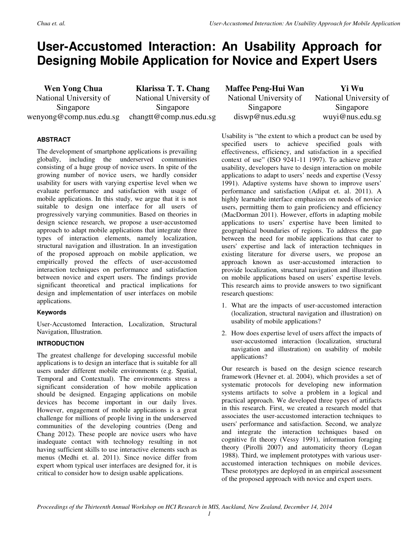## **User-Accustomed Interaction: An Usability Approach for Designing Mobile Application for Novice and Expert Users**

**Wen Yong Chua**  National University of Singapore wenyong@comp.nus.edu.sg

**Klarissa T. T. Chang**  National University of Singapore changtt@comp.nus.edu.sg **Maffee Peng-Hui Wan** National University of Singapore diswp@nus.edu.sg

**Yi Wu**  National University of Singapore wuyi@nus.edu.sg

#### **ABSTRACT**

The development of smartphone applications is prevailing globally, including the underserved communities consisting of a huge group of novice users. In spite of the growing number of novice users, we hardly consider usability for users with varying expertise level when we evaluate performance and satisfaction with usage of mobile applications. In this study, we argue that it is not suitable to design one interface for all users of progressively varying communities. Based on theories in design science research, we propose a user-accustomed approach to adapt mobile applications that integrate three types of interaction elements, namely localization, structural navigation and illustration. In an investigation of the proposed approach on mobile application, we empirically proved the effects of user-accustomed interaction techniques on performance and satisfaction between novice and expert users. The findings provide significant theoretical and practical implications for design and implementation of user interfaces on mobile applications.

#### **Keywords**

User-Accustomed Interaction, Localization, Structural Navigation, Illustration.

#### **INTRODUCTION**

The greatest challenge for developing successful mobile applications is to design an interface that is suitable for all users under different mobile environments (e.g. Spatial, Temporal and Contextual). The environments stress a significant consideration of how mobile application should be designed. Engaging applications on mobile devices has become important in our daily lives. However, engagement of mobile applications is a great challenge for millions of people living in the underserved communities of the developing countries (Deng and Chang 2012). These people are novice users who have inadequate contact with technology resulting in not having sufficient skills to use interactive elements such as menus (Medhi et. al. 2011). Since novice differ from expert whom typical user interfaces are designed for, it is critical to consider how to design usable applications.

Usability is "the extent to which a product can be used by specified users to achieve specified goals with effectiveness, efficiency, and satisfaction in a specified context of use" (ISO 9241-11 1997). To achieve greater usability, developers have to design interaction on mobile applications to adapt to users' needs and expertise (Vessy 1991). Adaptive systems have shown to improve users' performance and satisfaction (Adipat et. al. 2011). A highly learnable interface emphasizes on needs of novice users, permitting them to gain proficiency and efficiency (MacDorman 2011). However, efforts in adapting mobile applications to users' expertise have been limited to geographical boundaries of regions. To address the gap between the need for mobile applications that cater to users' expertise and lack of interaction techniques in existing literature for diverse users, we propose an approach known as user-accustomed interaction to provide localization, structural navigation and illustration on mobile applications based on users' expertise levels. This research aims to provide answers to two significant research questions:

- 1. What are the impacts of user-accustomed interaction (localization, structural navigation and illustration) on usability of mobile applications?
- 2. How does expertise level of users affect the impacts of user-accustomed interaction (localization, structural navigation and illustration) on usability of mobile applications?

Our research is based on the design science research framework (Hevner et. al. 2004), which provides a set of systematic protocols for developing new information systems artifacts to solve a problem in a logical and practical approach. We developed three types of artifacts in this research. First, we created a research model that associates the user-accustomed interaction techniques to users' performance and satisfaction. Second, we analyze and integrate the interaction techniques based on cognitive fit theory (Vessy 1991), information foraging theory (Pirolli 2007) and automaticity theory (Logan 1988). Third, we implement prototypes with various useraccustomed interaction techniques on mobile devices. These prototypes are deployed in an empirical assessment of the proposed approach with novice and expert users.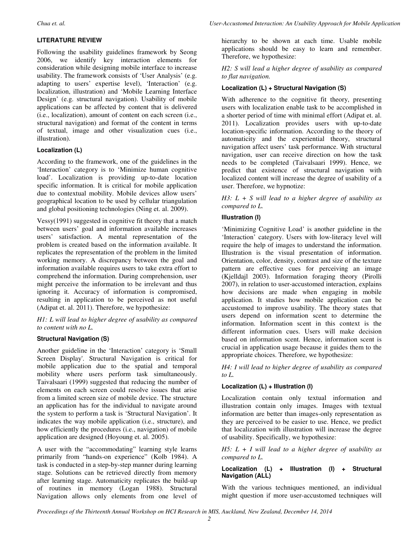#### **LITERATURE REVIEW**

Following the usability guidelines framework by Seong 2006, we identify key interaction elements for consideration while designing mobile interface to increase usability. The framework consists of 'User Analysis' (e.g. adapting to users' expertise level), 'Interaction' (e.g. localization, illustration) and 'Mobile Learning Interface Design' (e.g. structural navigation). Usability of mobile applications can be affected by content that is delivered (i.e., localization), amount of content on each screen (i.e., structural navigation) and format of the content in terms of textual, image and other visualization cues (i.e., illustration).

#### **Localization (L)**

According to the framework, one of the guidelines in the 'Interaction' category is to 'Minimize human cognitive load'. Localization is providing up-to-date location specific information. It is critical for mobile application due to contextual mobility. Mobile devices allow users' geographical location to be used by cellular triangulation and global positioning technologies (Ning et. al. 2009).

Vessy(1991) suggested in cognitive fit theory that a match between users' goal and information available increases users' satisfaction. A mental representation of the problem is created based on the information available. It replicates the representation of the problem in the limited working memory. A discrepancy between the goal and information available requires users to take extra effort to comprehend the information. During comprehension, user might perceive the information to be irrelevant and thus ignoring it. Accuracy of information is compromised, resulting in application to be perceived as not useful (Adipat et. al. 2011). Therefore, we hypothesize:

*H1: L will lead to higher degree of usability as compared to content with no L.*

#### **Structural Navigation (S)**

Another guideline in the 'Interaction' category is 'Small Screen Display'. Structural Navigation is critical for mobile application due to the spatial and temporal mobility where users perform task simultaneously. Taivalsaari (1999) suggested that reducing the number of elements on each screen could resolve issues that arise from a limited screen size of mobile device. The structure an application has for the individual to navigate around the system to perform a task is 'Structural Navigation'. It indicates the way mobile application (i.e., structure), and how efficiently the procedures (i.e., navigation) of mobile application are designed (Hoyoung et. al. 2005).

A user with the "accommodating" learning style learns primarily from "hands-on experience" (Kolb 1984). A task is conducted in a step-by-step manner during learning stage. Solutions can be retrieved directly from memory after learning stage. Automaticity replicates the build-up of routines in memory (Logan 1988). Structural Navigation allows only elements from one level of hierarchy to be shown at each time. Usable mobile applications should be easy to learn and remember. Therefore, we hypothesize:

*H2: S will lead a higher degree of usability as compared to flat navigation.* 

#### **Localization (L) + Structural Navigation (S)**

With adherence to the cognitive fit theory, presenting users with localization enable task to be accomplished in a shorter period of time with minimal effort (Adipat et. al. 2011). Localization provides users with up-to-date location-specific information. According to the theory of automaticity and the experiential theory, structural navigation affect users' task performance. With structural navigation, user can receive direction on how the task needs to be completed (Taivalsaari 1999). Hence, we predict that existence of structural navigation with localized content will increase the degree of usability of a user. Therefore, we hypnotize:

*H3: L + S will lead to a higher degree of usability as compared to L.* 

#### **Illustration (I)**

'Minimizing Cognitive Load' is another guideline in the 'Interaction' category. Users with low-literacy level will require the help of images to understand the information. Illustration is the visual presentation of information. Orientation, color, density, contrast and size of the texture pattern are effective cues for perceiving an image (Kjelldajl 2003). Information foraging theory (Pirolli 2007), in relation to user-accustomed interaction, explains how decisions are made when engaging in mobile application. It studies how mobile application can be accustomed to improve usability. The theory states that users depend on information scent to determine the information. Information scent in this context is the different information cues. Users will make decision based on information scent. Hence, information scent is crucial in application usage because it guides them to the appropriate choices. Therefore, we hypothesize:

*H4: I will lead to higher degree of usability as compared to L.* 

#### **Localization (L) + Illustration (I)**

Localization contain only textual information and illustration contain only images. Images with textual information are better than images-only representation as they are perceived to be easier to use. Hence, we predict that localization with illustration will increase the degree of usability. Specifically, we hypothesize:

*H5: L + I will lead to a higher degree of usability as compared to L.* 

#### **Localization (L) + Illustration (I) + Structural Navigation (ALL)**

With the various techniques mentioned, an individual might question if more user-accustomed techniques will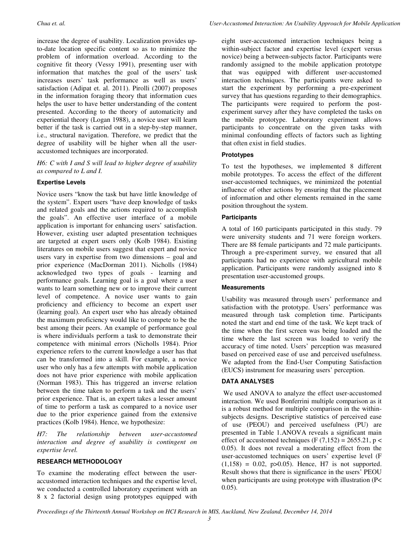increase the degree of usability. Localization provides upto-date location specific content so as to minimize the problem of information overload. According to the cognitive fit theory (Vessy 1991), presenting user with information that matches the goal of the users' task increases users' task performance as well as users' satisfaction (Adipat et. al. 2011). Pirolli (2007) proposes in the information foraging theory that information cues helps the user to have better understanding of the content presented. According to the theory of automaticity and experiential theory (Logan 1988), a novice user will learn better if the task is carried out in a step-by-step manner, i.e., structural navigation. Therefore, we predict that the degree of usability will be higher when all the useraccustomed techniques are incorporated.

*H6: C with I and S will lead to higher degree of usability as compared to L and I.* 

#### **Expertise Levels**

Novice users "know the task but have little knowledge of the system". Expert users "have deep knowledge of tasks and related goals and the actions required to accomplish the goals". An effective user interface of a mobile application is important for enhancing users' satisfaction. However, existing user adapted presentation techniques are targeted at expert users only (Kolb 1984). Existing literatures on mobile users suggest that expert and novice users vary in expertise from two dimensions – goal and prior experience (MacDorman 2011). Nicholls (1984) acknowledged two types of goals - learning and performance goals. Learning goal is a goal where a user wants to learn something new or to improve their current level of competence. A novice user wants to gain proficiency and efficiency to become an expert user (learning goal). An expert user who has already obtained the maximum proficiency would like to compete to be the best among their peers. An example of performance goal is where individuals perform a task to demonstrate their competence with minimal errors (Nicholls 1984). Prior experience refers to the current knowledge a user has that can be transformed into a skill. For example, a novice user who only has a few attempts with mobile application does not have prior experience with mobile application (Norman 1983). This has triggered an inverse relation between the time taken to perform a task and the users' prior experience. That is, an expert takes a lesser amount of time to perform a task as compared to a novice user due to the prior experience gained from the extensive practices (Kolb 1984). Hence, we hypothesize:

*H7: The relationship between user-accustomed interaction and degree of usability is contingent on expertise level.* 

#### **RESEARCH METHODOLOGY**

To examine the moderating effect between the useraccustomed interaction techniques and the expertise level, we conducted a controlled laboratory experiment with an 8 x 2 factorial design using prototypes equipped with

eight user-accustomed interaction techniques being a within-subject factor and expertise level (expert versus novice) being a between-subjects factor. Participants were randomly assigned to the mobile application prototype that was equipped with different user-accustomed interaction techniques. The participants were asked to start the experiment by performing a pre-experiment survey that has questions regarding to their demographics. The participants were required to perform the postexperiment survey after they have completed the tasks on the mobile prototype. Laboratory experiment allows participants to concentrate on the given tasks with minimal confounding effects of factors such as lighting that often exist in field studies.

#### **Prototypes**

To test the hypotheses, we implemented 8 different mobile prototypes. To access the effect of the different user-accustomed techniques, we minimized the potential influence of other actions by ensuring that the placement of information and other elements remained in the same position throughout the system.

#### **Participants**

A total of 160 participants participated in this study. 79 were university students and 71 were foreign workers. There are 88 female participants and 72 male participants. Through a pre-experiment survey, we ensured that all participants had no experience with agricultural mobile application. Participants were randomly assigned into 8 presentation user-accustomed groups.

#### **Measurements**

Usability was measured through users' performance and satisfaction with the prototype. Users' performance was measured through task completion time. Participants noted the start and end time of the task. We kept track of the time when the first screen was being loaded and the time where the last screen was loaded to verify the accuracy of time noted. Users' perception was measured based on perceived ease of use and perceived usefulness. We adapted from the End-User Computing Satisfaction (EUCS) instrument for measuring users' perception.

#### **DATA ANALYSES**

 We used ANOVA to analyze the effect user-accustomed interaction. We used Bonferrini multiple comparison as it is a robust method for multiple comparison in the withinsubjects designs. Descriptive statistics of perceived ease of use (PEOU) and perceived usefulness (PU) are presented in Table 1.ANOVA reveals a significant main effect of accustomed techniques (F  $(7,152) = 2655.21$ , p < 0.05). It does not reveal a moderating effect from the user-accustomed techniques on users' expertise level (F  $(1,158) = 0.02$ ,  $p > 0.05$ . Hence, H7 is not supported. Result shows that there is significance in the users' PEOU when participants are using prototype with illustration (P< 0.05).

*Proceedings of the Thirteenth Annual Workshop on HCI Research in MIS, Auckland, New Zealand, December 14, 2014*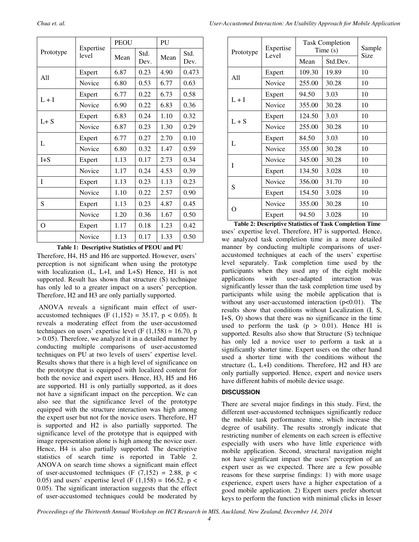| Prototype | Expertise<br>level | <b>PEOU</b> |              | PU   |              |
|-----------|--------------------|-------------|--------------|------|--------------|
|           |                    | Mean        | Std.<br>Dev. | Mean | Std.<br>Dev. |
| A11       | Expert             | 6.87        | 0.23         | 4.90 | 0.473        |
|           | Novice             | 6.80        | 0.53         | 6.77 | 0.63         |
| $L + I$   | Expert             | 6.77        | 0.22         | 6.73 | 0.58         |
|           | Novice             | 6.90        | 0.22         | 6.83 | 0.36         |
| $L+S$     | Expert             | 6.83        | 0.24         | 1.10 | 0.32         |
|           | Novice             | 6.87        | 0.23         | 1.30 | 0.29         |
| L         | Expert             | 6.77        | 0.27         | 2.70 | 0.10         |
|           | Novice             | 6.80        | 0.32         | 1.47 | 0.59         |
| $I + S$   | Expert             | 1.13        | 0.17         | 2.73 | 0.34         |
|           | Novice             | 1.17        | 0.24         | 4.53 | 0.39         |
| T         | Expert             | 1.13        | 0.23         | 1.13 | 0.23         |
|           | Novice             | 1.10        | 0.22         | 2.57 | 0.90         |
| S         | Expert             | 1.13        | 0.23         | 4.87 | 0.45         |
|           | Novice             | 1.20        | 0.36         | 1.67 | 0.50         |
| $\Omega$  | Expert             | 1.17        | 0.18         | 1.23 | 0.42         |
|           | Novice             | 1.13        | 0.17         | 1.33 | 0.50         |

**Table 1: Descriptive Statistics of PEOU and PU**

Therefore, H4, H5 and H6 are supported. However, users' perception is not significant when using the prototype with localization (L, L+I, and L+S) Hence, H1 is not supported. Result has shown that structure (S) technique has only led to a greater impact on a users' perception. Therefore, H2 and H3 are only partially supported.

 ANOVA reveals a significant main effect of useraccustomed techniques (F  $(1,152) = 35.17$ , p < 0.05). It reveals a moderating effect from the user-accustomed techniques on users' expertise level (F  $(1,158) = 16.70$ , p > 0.05). Therefore, we analyzed it in a detailed manner by conducting multiple comparisons of user-accustomed techniques on PU at two levels of users' expertise level. Results shows that there is a high level of significance on the prototype that is equipped with localized content for both the novice and expert users. Hence, H3, H5 and H6 are supported. H1 is only partially supported, as it does not have a significant impact on the perception. We can also see that the significance level of the prototype equipped with the structure interaction was high among the expert user but not for the novice users. Therefore, H7 is supported and H2 is also partially supported. The significance level of the prototype that is equipped with image representation alone is high among the novice user. Hence, H4 is also partially supported. The descriptive statistics of search time is reported in Table 2. ANOVA on search time shows a significant main effect of user-accustomed techniques (F  $(7,152) = 2.88$ , p < 0.05) and users' expertise level (F  $(1,158) = 166.52$ , p < 0.05). The significant interaction suggests that the effect of user-accustomed techniques could be moderated by

| Prototype | Expertise<br>Level | <b>Task Completion</b><br>Time(s) | Sample   |      |
|-----------|--------------------|-----------------------------------|----------|------|
|           |                    | Mean                              | Std.Dev. | Size |
| A11       | Expert             | 109.30                            | 19.89    | 10   |
|           | Novice             | 255.00                            | 30.28    | 10   |
| $L + I$   | Expert             | 94.50                             | 3.03     | 10   |
|           | Novice             | 355.00                            | 30.28    | 10   |
| $L + S$   | Expert             | 124.50                            | 3.03     | 10   |
|           | Novice             | 255.00                            | 30.28    | 10   |
| L         | Expert             | 84.50                             | 3.03     | 10   |
|           | Novice             | 355.00                            | 30.28    | 10   |
| I         | Novice             | 345.00                            | 30.28    | 10   |
|           | Expert             | 134.50                            | 3.028    | 10   |
| S         | Novice             | 356.00                            | 31.70    | 10   |
|           | Expert             | 154.50                            | 3.028    | 10   |
| O         | Novice             | 355.00                            | 30.28    | 10   |
|           | Expert             | 94.50                             | 3.028    | 10   |

uses' expertise level. Therefore, H7 is supported. Hence, we analyzed task completion time in a more detailed manner by conducting multiple comparisons of useraccustomed techniques at each of the users' expertise level separately. Task completion time used by the participants when they used any of the eight mobile<br>applications with user-adapted interaction was applications with user-adapted interaction was significantly lesser than the task completion time used by participants while using the mobile application that is without any user-accustomed interaction  $(p<0.01)$ . The results show that conditions without Localization (I, S, I+S, O) shows that there was no significance in the time used to perform the task  $(p > 0.01)$ . Hence H1 is supported. Results also show that Structure (S) technique has only led a novice user to perform a task at a significantly shorter time. Expert users on the other hand used a shorter time with the conditions without the structure (L, L+I) conditions. Therefore, H2 and H3 are only partially supported. Hence, expert and novice users have different habits of mobile device usage. **Table 2: Descriptive Statistics of Task Completion Time**

#### **DISCUSSION**

There are several major findings in this study. First, the different user-accustomed techniques significantly reduce the mobile task performance time, which increase the degree of usability. The results strongly indicate that restricting number of elements on each screen is effective especially with users who have little experience with mobile application. Second, structural navigation might not have significant impact the users' perception of an expert user as we expected. There are a few possible reasons for these surprise findings: 1) with more usage experience, expert users have a higher expectation of a good mobile application. 2) Expert users prefer shortcut keys to perform the function with minimal clicks in lesser

*Proceedings of the Thirteenth Annual Workshop on HCI Research in MIS, Auckland, New Zealand, December 14, 2014*